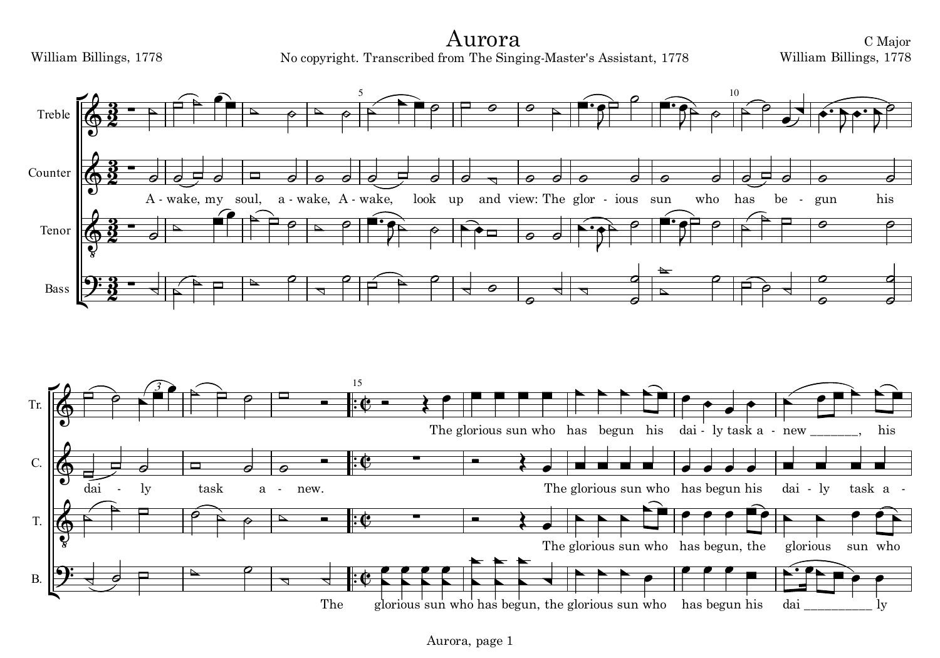Aurora No copyright. Transcribed from The Singing-Master's Assistant, 1778



C Major William Billings, 1778



Aurora, page 1